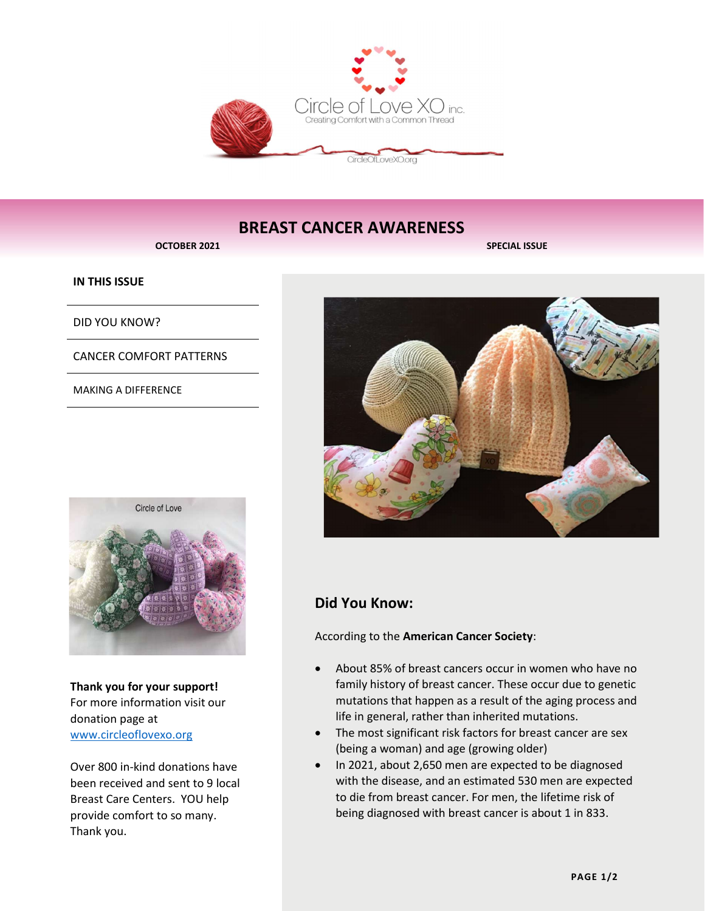

# BREAST CANCER AWARENESS

OCTOBER 2021 SPECIAL ISSUE

### IN THIS ISSUE

DID YOU KNOW?

CANCER COMFORT PATTERNS

MAKING A DIFFERENCE



Thank you for your support! For more information visit our donation page at www.circleoflovexo.org

Over 800 in-kind donations have been received and sent to 9 local Breast Care Centers. YOU help provide comfort to so many. Thank you.



# Did You Know:

According to the American Cancer Society:

- About 85% of breast cancers occur in women who have no family history of breast cancer. These occur due to genetic mutations that happen as a result of the aging process and life in general, rather than inherited mutations.
- The most significant risk factors for breast cancer are sex (being a woman) and age (growing older)
- In 2021, about 2,650 men are expected to be diagnosed with the disease, and an estimated 530 men are expected to die from breast cancer. For men, the lifetime risk of being diagnosed with breast cancer is about 1 in 833.